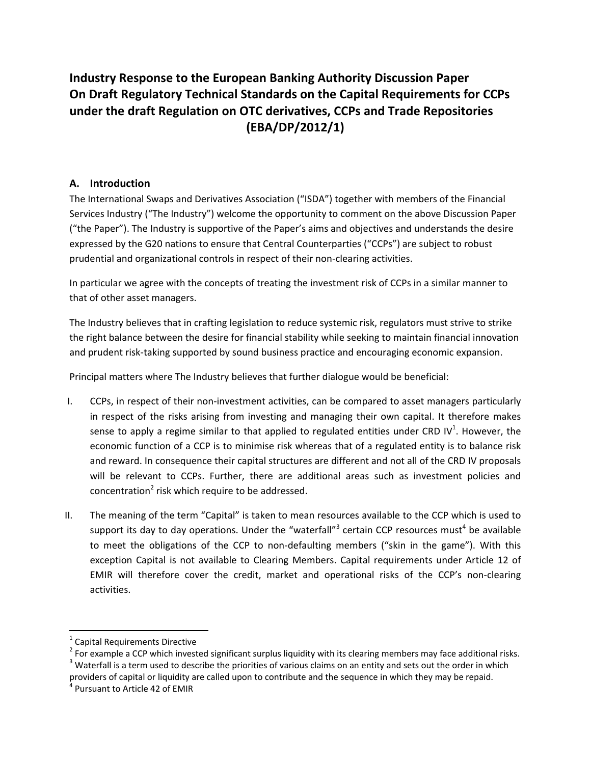# **Industry Response to the European Banking Authority Discussion Paper On Draft Regulatory Technical Standards on the Capital Requirements for CCPs under the draft Regulation on OTC derivatives, CCPs and Trade Repositories (EBA/DP/2012/1)**

### **A. Introduction**

The International Swaps and Derivatives Association ("ISDA") together with members of the Financial Services Industry ("The Industry") welcome the opportunity to comment on the above Discussion Paper ("the Paper"). The Industry is supportive of the Paper's aims and objectives and understands the desire expressed by the G20 nations to ensure that Central Counterparties ("CCPs") are subject to robust prudential and organizational controls in respect of their non‐clearing activities.

In particular we agree with the concepts of treating the investment risk of CCPs in a similar manner to that of other asset managers.

The Industry believes that in crafting legislation to reduce systemic risk, regulators must strive to strike the right balance between the desire for financial stability while seeking to maintain financial innovation and prudent risk-taking supported by sound business practice and encouraging economic expansion.

Principal matters where The Industry believes that further dialogue would be beneficial:

- I. CCPs, in respect of their non‐investment activities, can be compared to asset managers particularly in respect of the risks arising from investing and managing their own capital. It therefore makes sense to apply a regime similar to that applied to regulated entities under CRD IV<sup>1</sup>. However, the economic function of a CCP is to minimise risk whereas that of a regulated entity is to balance risk and reward. In consequence their capital structures are different and not all of the CRD IV proposals will be relevant to CCPs. Further, there are additional areas such as investment policies and concentration<sup>2</sup> risk which require to be addressed.
- II. The meaning of the term "Capital" is taken to mean resources available to the CCP which is used to support its day to day operations. Under the "waterfall"<sup>3</sup> certain CCP resources must<sup>4</sup> be available to meet the obligations of the CCP to non-defaulting members ("skin in the game"). With this exception Capital is not available to Clearing Members. Capital requirements under Article 12 of EMIR will therefore cover the credit, market and operational risks of the CCP's non‐clearing activities.

 $^1$  Capital Requirements Directive<br>
<sup>2</sup> For example a CCP which invested significant surplus liquidity with its clearing members may face additional risks.<br>
<sup>3</sup> Waterfall is a term used to describe the priorities of vari providers of capital or liquidity are called upon to contribute and the sequence in which they may be repaid.<br><sup>4</sup> Pursuant to Article 42 of EMIR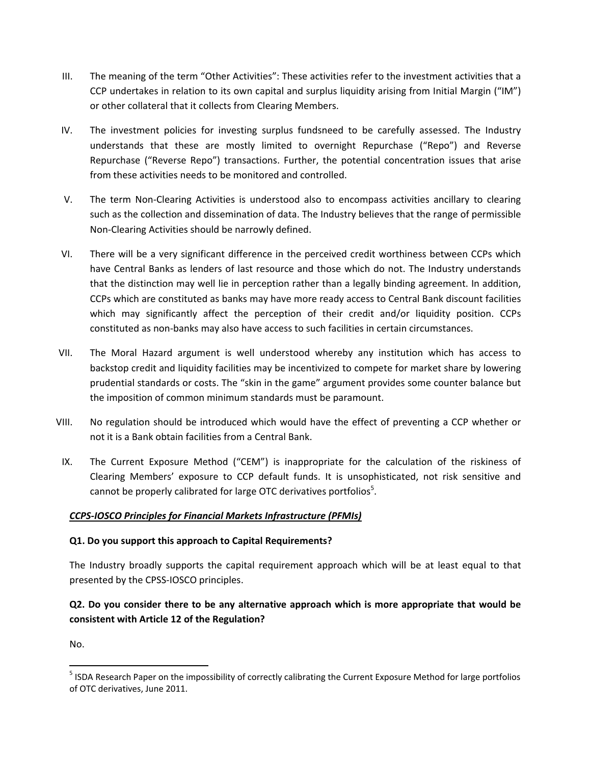- III. The meaning of the term "Other Activities": These activities refer to the investment activities that a CCP undertakes in relation to its own capital and surplus liquidity arising from Initial Margin ("IM") or other collateral that it collects from Clearing Members.
- IV. The investment policies for investing surplus fundsneed to be carefully assessed. The Industry understands that these are mostly limited to overnight Repurchase ("Repo") and Reverse Repurchase ("Reverse Repo") transactions. Further, the potential concentration issues that arise from these activities needs to be monitored and controlled.
- V. The term Non‐Clearing Activities is understood also to encompass activities ancillary to clearing such as the collection and dissemination of data. The Industry believes that the range of permissible Non‐Clearing Activities should be narrowly defined.
- VI. There will be a very significant difference in the perceived credit worthiness between CCPs which have Central Banks as lenders of last resource and those which do not. The Industry understands that the distinction may well lie in perception rather than a legally binding agreement. In addition, CCPs which are constituted as banks may have more ready access to Central Bank discount facilities which may significantly affect the perception of their credit and/or liquidity position. CCPs constituted as non‐banks may also have access to such facilities in certain circumstances.
- VII. The Moral Hazard argument is well understood whereby any institution which has access to backstop credit and liquidity facilities may be incentivized to compete for market share by lowering prudential standards or costs. The "skin in the game" argument provides some counter balance but the imposition of common minimum standards must be paramount.
- VIII. No regulation should be introduced which would have the effect of preventing a CCP whether or not it is a Bank obtain facilities from a Central Bank.
- IX. The Current Exposure Method ("CEM") is inappropriate for the calculation of the riskiness of Clearing Members' exposure to CCP default funds. It is unsophisticated, not risk sensitive and cannot be properly calibrated for large OTC derivatives portfolios $5$ .

#### *CCPS‐IOSCO Principles for Financial Markets Infrastructure (PFMIs)*

#### **Q1. Do you support this approach to Capital Requirements?**

The Industry broadly supports the capital requirement approach which will be at least equal to that presented by the CPSS‐IOSCO principles.

# **Q2. Do you consider there to be any alternative approach which is more appropriate that would be consistent with Article 12 of the Regulation?**

No.

 <sup>5</sup> ISDA Research Paper on the impossibility of correctly calibrating the Current Exposure Method for large portfolios of OTC derivatives, June 2011.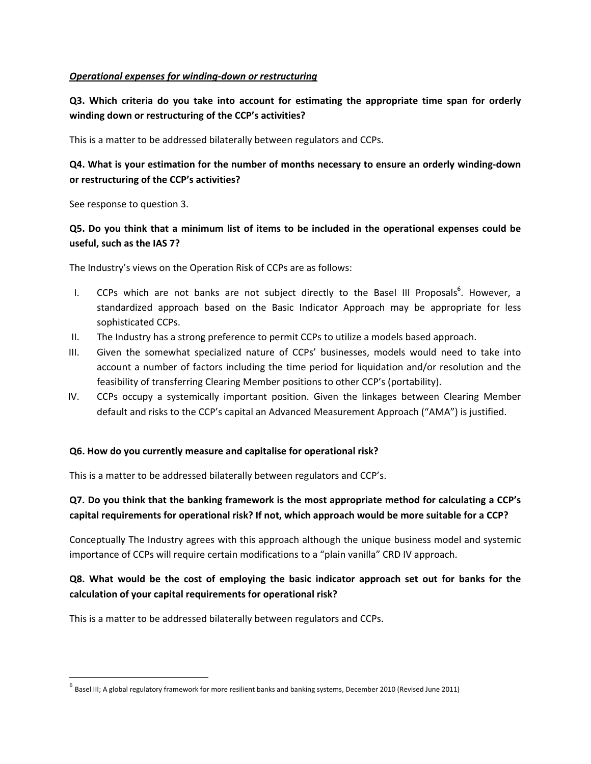#### *Operational expenses for winding‐down or restructuring*

**Q3. Which criteria do you take into account for estimating the appropriate time span for orderly winding down or restructuring of the CCP's activities?**

This is a matter to be addressed bilaterally between regulators and CCPs.

# **Q4. What is your estimation for the number of months necessary to ensure an orderly winding‐down or restructuring of the CCP's activities?**

See response to question 3.

### Q5. Do you think that a minimum list of items to be included in the operational expenses could be **useful, such as the IAS 7?**

The Industry's views on the Operation Risk of CCPs are as follows:

- I. CCPs which are not banks are not subject directly to the Basel III Proposals<sup>6</sup>. However, a standardized approach based on the Basic Indicator Approach may be appropriate for less sophisticated CCPs.
- II. The Industry has a strong preference to permit CCPs to utilize a models based approach.
- III. Given the somewhat specialized nature of CCPs' businesses, models would need to take into account a number of factors including the time period for liquidation and/or resolution and the feasibility of transferring Clearing Member positions to other CCP's (portability).
- IV. CCPs occupy a systemically important position. Given the linkages between Clearing Member default and risks to the CCP's capital an Advanced Measurement Approach ("AMA") is justified.

#### **Q6. How do you currently measure and capitalise for operational risk?**

This is a matter to be addressed bilaterally between regulators and CCP's.

# **Q7. Do you think that the banking framework is the most appropriate method for calculating a CCP's capital requirements for operational risk? If not, which approach would be more suitable for a CCP?**

Conceptually The Industry agrees with this approach although the unique business model and systemic importance of CCPs will require certain modifications to a "plain vanilla" CRD IV approach.

# **Q8. What would be the cost of employing the basic indicator approach set out for banks for the calculation of your capital requirements for operational risk?**

This is a matter to be addressed bilaterally between regulators and CCPs.

 $^6$  Basel III; A global regulatory framework for more resilient banks and banking systems, December 2010 (Revised June 2011)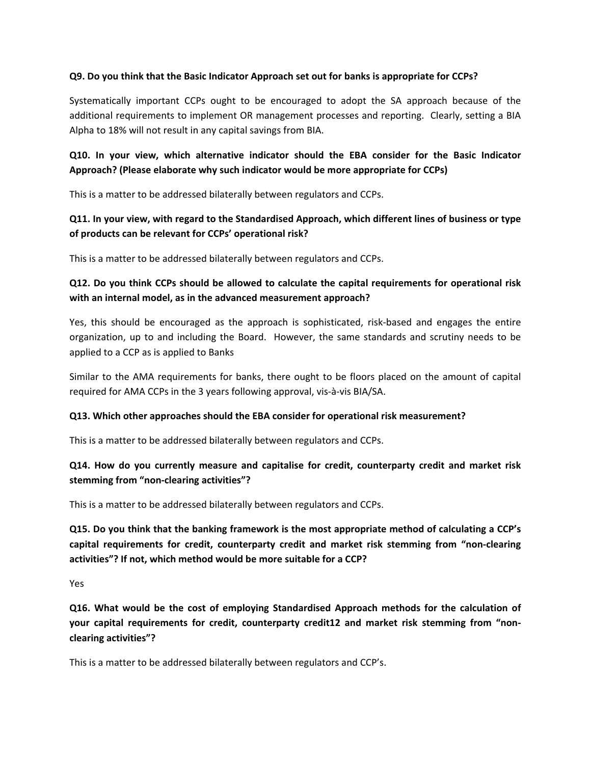#### **Q9. Do you think that the Basic Indicator Approach set out for banks is appropriate for CCPs?**

Systematically important CCPs ought to be encouraged to adopt the SA approach because of the additional requirements to implement OR management processes and reporting. Clearly, setting a BIA Alpha to 18% will not result in any capital savings from BIA.

# **Q10. In your view, which alternative indicator should the EBA consider for the Basic Indicator Approach? (Please elaborate why such indicator would be more appropriate for CCPs)**

This is a matter to be addressed bilaterally between regulators and CCPs.

# **Q11. In your view, with regard to the Standardised Approach, which different lines of business or type of products can be relevant for CCPs' operational risk?**

This is a matter to be addressed bilaterally between regulators and CCPs.

### **Q12. Do you think CCPs should be allowed to calculate the capital requirements for operational risk with an internal model, as in the advanced measurement approach?**

Yes, this should be encouraged as the approach is sophisticated, risk‐based and engages the entire organization, up to and including the Board. However, the same standards and scrutiny needs to be applied to a CCP as is applied to Banks

Similar to the AMA requirements for banks, there ought to be floors placed on the amount of capital required for AMA CCPs in the 3 years following approval, vis‐à‐vis BIA/SA.

#### **Q13. Which other approaches should the EBA consider for operational risk measurement?**

This is a matter to be addressed bilaterally between regulators and CCPs.

#### **Q14. How do you currently measure and capitalise for credit, counterparty credit and market risk stemming from "non‐clearing activities"?**

This is a matter to be addressed bilaterally between regulators and CCPs.

**Q15. Do you think that the banking framework is the most appropriate method of calculating a CCP's capital requirements for credit, counterparty credit and market risk stemming from "non‐clearing activities"? If not, which method would be more suitable for a CCP?**

Yes

**Q16. What would be the cost of employing Standardised Approach methods for the calculation of your capital requirements for credit, counterparty credit12 and market risk stemming from "non‐ clearing activities"?**

This is a matter to be addressed bilaterally between regulators and CCP's.